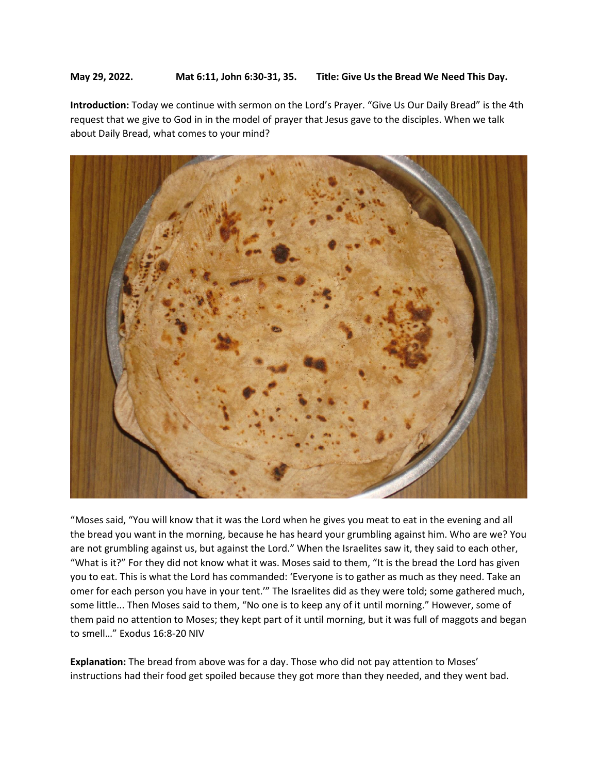## **May 29, 2022. Mat 6:11, John 6:30-31, 35. Title: Give Us the Bread We Need This Day.**

**Introduction:** Today we continue with sermon on the Lord's Prayer. "Give Us Our Daily Bread" is the 4th request that we give to God in in the model of prayer that Jesus gave to the disciples. When we talk about Daily Bread, what comes to your mind?



"Moses said, "You will know that it was the Lord when he gives you meat to eat in the evening and all the bread you want in the morning, because he has heard your grumbling against him. Who are we? You are not grumbling against us, but against the Lord." When the Israelites saw it, they said to each other, "What is it?" For they did not know what it was. Moses said to them, "It is the bread the Lord has given you to eat. This is what the Lord has commanded: 'Everyone is to gather as much as they need. Take an omer for each person you have in your tent.'" The Israelites did as they were told; some gathered much, some little... Then Moses said to them, "No one is to keep any of it until morning." However, some of them paid no attention to Moses; they kept part of it until morning, but it was full of maggots and began to smell…" Exodus 16:8-20 NIV

**Explanation:** The bread from above was for a day. Those who did not pay attention to Moses' instructions had their food get spoiled because they got more than they needed, and they went bad.